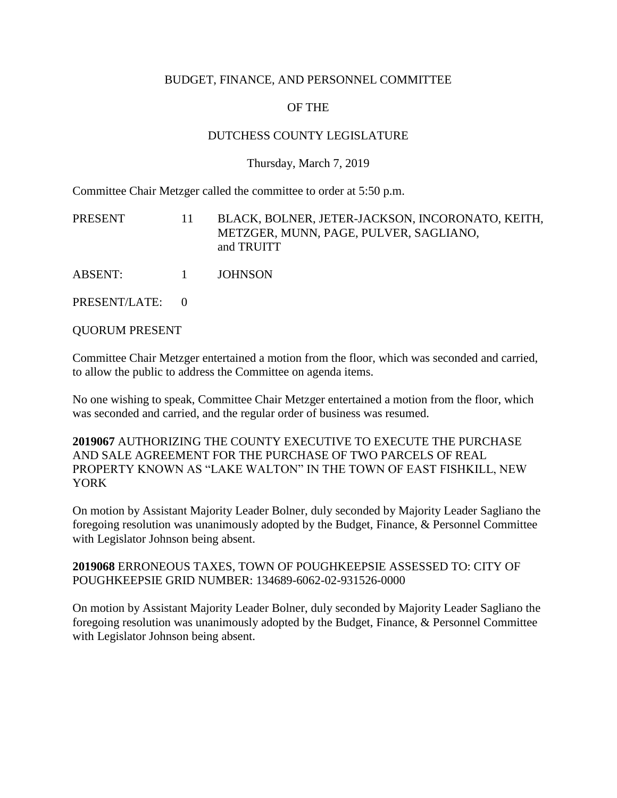### BUDGET, FINANCE, AND PERSONNEL COMMITTEE

# OF THE

## DUTCHESS COUNTY LEGISLATURE

### Thursday, March 7, 2019

Committee Chair Metzger called the committee to order at 5:50 p.m.

PRESENT 11 BLACK, BOLNER, JETER-JACKSON, INCORONATO, KEITH, METZGER, MUNN, PAGE, PULVER, SAGLIANO, and TRUITT

ABSENT: 1 JOHNSON

PRESENT/LATE: 0

QUORUM PRESENT

Committee Chair Metzger entertained a motion from the floor, which was seconded and carried, to allow the public to address the Committee on agenda items.

No one wishing to speak, Committee Chair Metzger entertained a motion from the floor, which was seconded and carried, and the regular order of business was resumed.

**2019067** AUTHORIZING THE COUNTY EXECUTIVE TO EXECUTE THE PURCHASE AND SALE AGREEMENT FOR THE PURCHASE OF TWO PARCELS OF REAL PROPERTY KNOWN AS "LAKE WALTON" IN THE TOWN OF EAST FISHKILL, NEW YORK

On motion by Assistant Majority Leader Bolner, duly seconded by Majority Leader Sagliano the foregoing resolution was unanimously adopted by the Budget, Finance, & Personnel Committee with Legislator Johnson being absent.

**2019068** ERRONEOUS TAXES, TOWN OF POUGHKEEPSIE ASSESSED TO: CITY OF POUGHKEEPSIE GRID NUMBER: 134689-6062-02-931526-0000

On motion by Assistant Majority Leader Bolner, duly seconded by Majority Leader Sagliano the foregoing resolution was unanimously adopted by the Budget, Finance, & Personnel Committee with Legislator Johnson being absent.